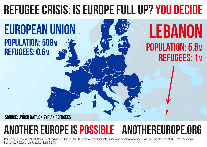## **REFUGEE CRISIS: IS EUROPE FULL UP? YOU DECIDE**

#### **EUROPEAN UNION** POPULATION: 508M **REFUGEES: 0.6M**

## **LEBANON** POPULATION: 5.8M **REFUGEES: 1M**

**SOURCE: UNHCR DATA ON SYRIAN REFUGEES** 

### **another europe is possible anothereurope.org**

Printed by Solopress, 9 Stock Road, Southend-on-Sea, Essex, SS2 5QF. Promoted by Michael Chessum on behalf of Another Europe Is Possible, both of AEIP c/o Housmans Bookshop, 5 Caledonian Road, London N5 9DX.